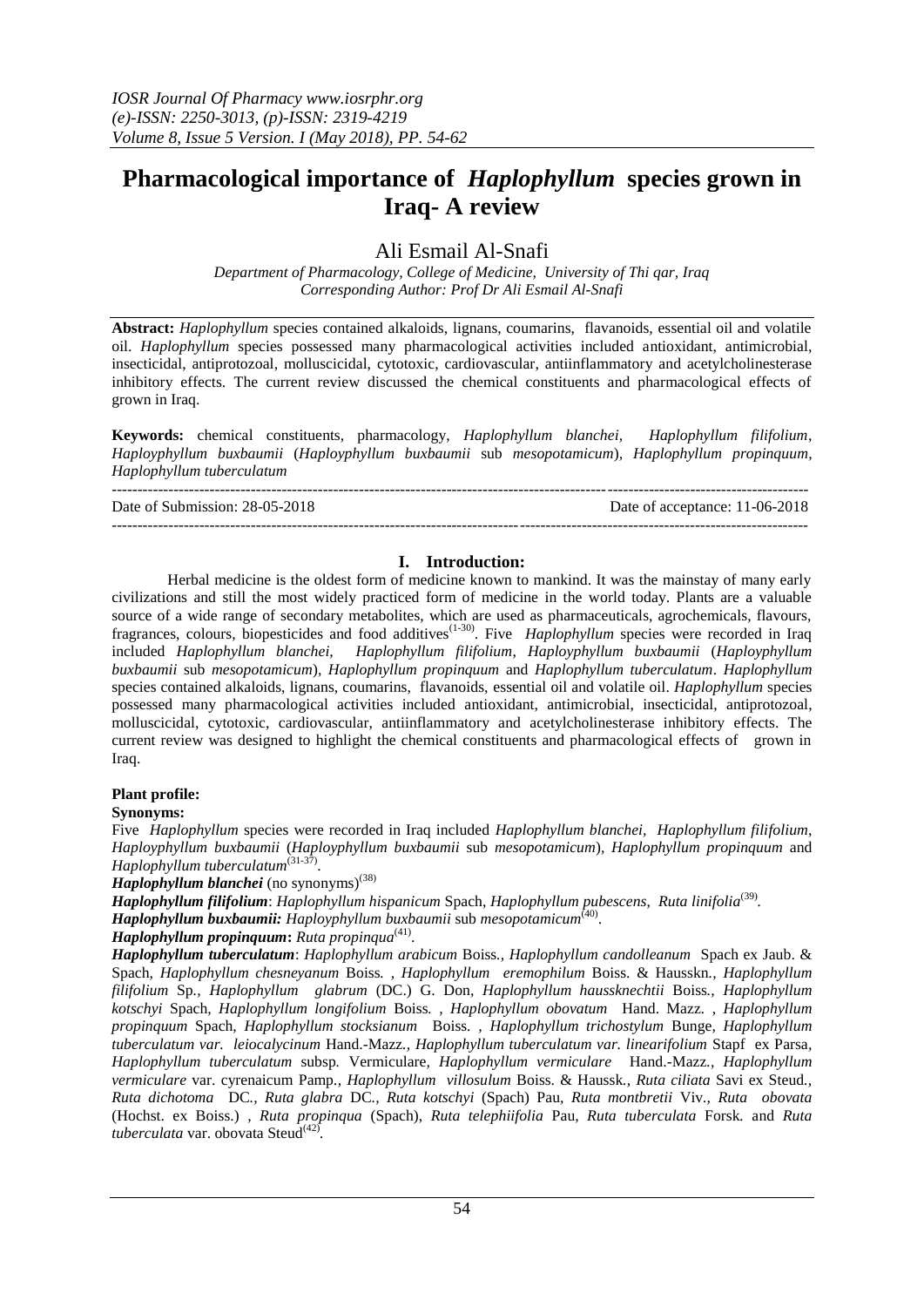# **Pharmacological importance of** *Haplophyllum* **species grown in Iraq- A review**

Ali Esmail Al-Snafi

*Department of Pharmacology, College of Medicine, University of Thi qar, Iraq Corresponding Author: Prof Dr Ali Esmail Al-Snafi*

**Abstract:** *Haplophyllum* species contained alkaloids, lignans, coumarins, flavanoids, essential oil and volatile oil. *Haplophyllum* species possessed many pharmacological activities included antioxidant, antimicrobial, insecticidal, antiprotozoal, molluscicidal, cytotoxic, cardiovascular, antiinflammatory and acetylcholinesterase inhibitory effects. The current review discussed the chemical constituents and pharmacological effects of grown in Iraq.

**Keywords:** chemical constituents, pharmacology, *Haplophyllum blanchei, Haplophyllum filifolium*, *Haployphyllum buxbaumii* (*Haployphyllum buxbaumii* sub *mesopotamicum*)*, Haplophyllum propinquum, Haplophyllum tuberculatum*

--------------------------------------------------------------------------------------------------------------------------------------- Date of Submission: 28-05-2018 Date of acceptance: 11-06-2018

---------------------------------------------------------------------------------------------------------------------------------------

# **I. Introduction:**

Herbal medicine is the oldest form of medicine known to mankind. It was the mainstay of many early civilizations and still the most widely practiced form of medicine in the world today. Plants are a valuable source of a wide range of secondary metabolites, which are used as pharmaceuticals, agrochemicals, flavours, fragrances, colours, biopesticides and food additives<sup>(1-30)</sup>. Five *Haplophyllum* species were recorded in Iraq included *Haplophyllum blanchei, Haplophyllum filifolium*, *Haployphyllum buxbaumii* (*Haployphyllum buxbaumii* sub *mesopotamicum*)*, Haplophyllum propinquum* and *Haplophyllum tuberculatum*. *Haplophyllum*  species contained alkaloids, lignans, coumarins, flavanoids, essential oil and volatile oil. *Haplophyllum* species possessed many pharmacological activities included antioxidant, antimicrobial, insecticidal, antiprotozoal, molluscicidal, cytotoxic, cardiovascular, antiinflammatory and acetylcholinesterase inhibitory effects. The current review was designed to highlight the chemical constituents and pharmacological effects of grown in Iraq.

# **Plant profile:**

# **Synonyms:**

Five *Haplophyllum* species were recorded in Iraq included *Haplophyllum blanchei, Haplophyllum filifolium*, *Haployphyllum buxbaumii* (*Haployphyllum buxbaumii* sub *mesopotamicum*)*, Haplophyllum propinquum* and *Haplophyllum tuberculatum*<sup>(31-37</sup>) .

*Haplophyllum blanchei* (no synonyms)<sup>(38)</sup>

*Haplophyllum filifolium*: *[Haplophyllum](http://www.theplantlist.org/tpl/record/kew-2839381) hispanicum* Spach, *Haplophyllum pubescens*, *Ruta linifolia*(39) *.*

*Haplophyllum buxbaumii: Haployphyllum buxbaumii* sub *mesopotamicum*(40) .

*Haplophyllum propinquum*: Ruta propinqua<sup>(41)</sup>.

*Haplophyllum tuberculatum*: *Haplophyllum arabicum* Boiss*., Haplophyllum candolleanum* Spach ex Jaub. & Spach*, Haplophyllum chesneyanum* Boiss*. , Haplophyllum eremophilum* Boiss. & Hausskn*., Haplophyllum filifolium* Sp*., Haplophyllum glabrum* (DC.) G. Don*, Haplophyllum haussknechtii* Boiss*., Haplophyllum kotschyi* Spach*, Haplophyllum longifolium* Boiss*. , Haplophyllum obovatum* Hand. Mazz*. , Haplophyllum propinquum* Spach*, Haplophyllum stocksianum* Boiss*. , Haplophyllum trichostylum* Bunge*, Haplophyllum tuberculatum var. leiocalycinum* Hand.-Mazz*., Haplophyllum tuberculatum var. linearifolium* Stapf ex Parsa*, Haplophyllum tuberculatum* subsp*.* Vermiculare*, Haplophyllum vermiculare* Hand.-Mazz*., Haplophyllum vermiculare* var. cyrenaicum Pamp*., Haplophyllum villosulum* Boiss. & Haussk*., Ruta ciliata* Savi ex Steud*., Ruta dichotoma* DC*., Ruta glabra* DC*., Ruta kotschyi* (Spach) Pau*, Ruta montbretii* Viv*., Ruta obovata*  (Hochst. ex Boiss.) *, Ruta propinqua* (Spach), *Ruta telephiifolia* Pau*, Ruta tuberculata* Forsk*.* and *Ruta tuberculata* var. obovata Steud(42) *.*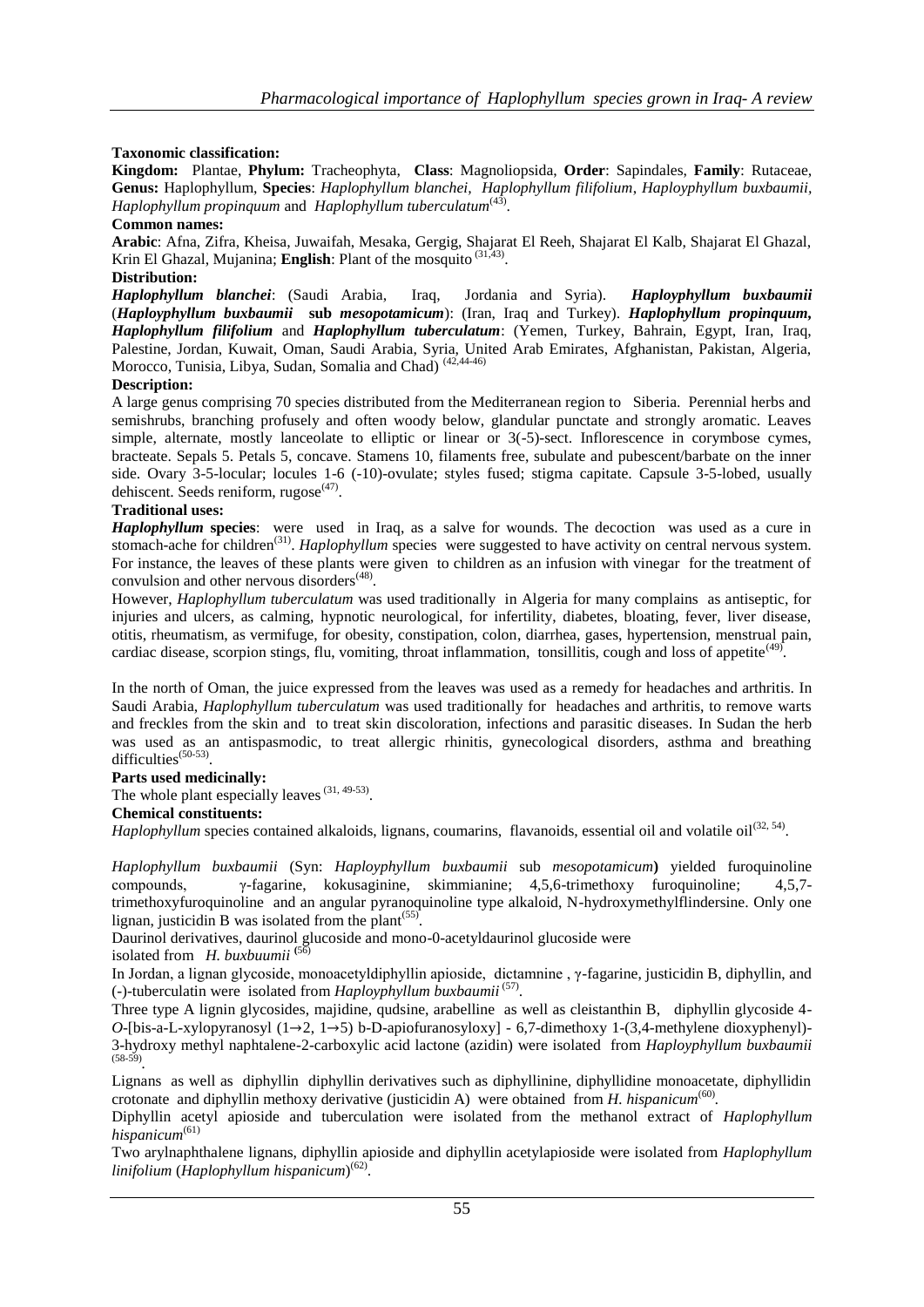# **Taxonomic classification:**

**Kingdom:** Plantae, **Phylum:** Tracheophyta, **Class**: Magnoliopsida, **Order**: Sapindales, **Family**: Rutaceae, **Genus:** Haplophyllum, **Species**: *Haplophyllum blanchei, Haplophyllum filifolium*, *Haployphyllum buxbaumii, Haplophyllum propinquum* and *Haplophyllum tuberculatum*(43) .

## **Common names:**

**Arabic**: Afna, Zifra, Kheisa, Juwaifah, Mesaka, Gergig, Shajarat El Reeh, Shajarat El Kalb, Shajarat El Ghazal, Krin El Ghazal, Mujanina; **English**: Plant of the mosquito <sup>(31,43)</sup>.

## **Distribution:**

*Haplophyllum blanchei*: (Saudi Arabia, Iraq, Jordania and Syria). *Haployphyllum buxbaumii* (*Haployphyllum buxbaumii* **sub** *mesopotamicum*): (Iran, Iraq and Turkey). *Haplophyllum propinquum, Haplophyllum filifolium* and *Haplophyllum tuberculatum*: (Yemen, Turkey, Bahrain, Egypt, Iran, Iraq, Palestine, Jordan, Kuwait, Oman, Saudi Arabia, Syria, United Arab Emirates, Afghanistan, Pakistan, Algeria, Morocco, Tunisia, Libya, Sudan, Somalia and Chad)<sup>(42,44-46)</sup>

## **Description:**

A large genus comprising 70 species distributed from the Mediterranean region to Siberia. Perennial herbs and semishrubs, branching profusely and often woody below, glandular punctate and strongly aromatic. Leaves simple, alternate, mostly lanceolate to elliptic or linear or 3(-5)-sect. Inflorescence in corymbose cymes, bracteate. Sepals 5. Petals 5, concave. Stamens 10, filaments free, subulate and pubescent/barbate on the inner side. Ovary 3-5-locular; locules 1-6 (-10)-ovulate; styles fused; stigma capitate. Capsule 3-5-lobed, usually dehiscent. Seeds reniform, rugose<sup>(47)</sup>.

# **Traditional uses:**

*Haplophyllum* **species**: were used in Iraq, as a salve for wounds. The decoction was used as a cure in stomach-ache for children<sup>(31)</sup>. *Haplophyllum* species were suggested to have activity on central nervous system. For instance, the leaves of these plants were given to children as an infusion with vinegar for the treatment of convulsion and other nervous disorders<sup>(48)</sup>.

However, *Haplophyllum tuberculatum* was used traditionally in Algeria for many complains as antiseptic, for injuries and ulcers, as calming, hypnotic neurological, for infertility, diabetes, bloating, fever, liver disease, otitis, rheumatism, as vermifuge, for obesity, constipation, colon, diarrhea, gases, hypertension, menstrual pain, cardiac disease, scorpion stings, flu, vomiting, throat inflammation, tonsillitis, cough and loss of appetite<sup>(49)</sup>.

In the north of Oman, the juice expressed from the leaves was used as a remedy for headaches and arthritis. In Saudi Arabia, *Haplophyllum tuberculatum* was used traditionally for headaches and arthritis, to remove warts and freckles from the skin and to treat skin discoloration, infections and parasitic diseases. In Sudan the herb was used as an antispasmodic, to treat allergic rhinitis, gynecological disorders, asthma and breathing difficulties<sup>(50-53)</sup>.

## **Parts used medicinally:**

The whole plant especially leaves  $(31, 49.53)$ .

## **Chemical constituents:**

*Haplophyllum* species contained alkaloids, lignans, coumarins, flavanoids, essential oil and volatile oil<sup>(32, 54)</sup>.

*Haplophyllum buxbaumii* (Syn: *Haployphyllum buxbaumii* sub *mesopotamicum***)** yielded furoquinoline compounds, γ-fagarine, kokusaginine, skimmianine; 4,5,6-trimethoxy furoquinoline; 4,5,7 trimethoxyfuroquinoline and an angular pyranoquinoline type alkaloid, N-hydroxymethylflindersine. Only one lignan, justicidin B was isolated from the plant<sup> $(55)$ </sup>.

Daurinol derivatives, daurinol glucoside and mono-0-acetyldaurinol glucoside were

isolated from *H. buxbuumii* **(**56)

In Jordan, a lignan glycoside, monoacetyldiphyllin apioside, dictamnine , γ-fagarine, justicidin B, diphyllin, and (-)-tuberculatin were isolated from *Haployphyllum buxbaumii* (57) .

Three type A lignin glycosides, majidine, qudsine, arabelline as well as cleistanthin B, diphyllin glycoside 4- *O*-[bis-a-L-xylopyranosyl (1→2, 1→5) b-D-apiofuranosyloxy] - 6,7-dimethoxy 1-(3,4-methylene dioxyphenyl)-3-hydroxy methyl naphtalene-2-carboxylic acid lactone (azidin) were isolated from *Haployphyllum buxbaumii* (58-59) *.*

Lignans as well as diphyllin diphyllin derivatives such as diphyllinine, diphyllidine monoacetate, diphyllidin crotonate and diphyllin methoxy derivative (justicidin A) were obtained from *H. hispanicum*<sup>(60)</sup>.

Diphyllin acetyl apioside and tuberculation were isolated from the methanol extract of *Haplophyllum hispanicum*(61)

Two arylnaphthalene lignans, diphyllin apioside and diphyllin acetylapioside were isolated from *Haplophyllum linifolium* (*Haplophyllum hispanicum*) (62) .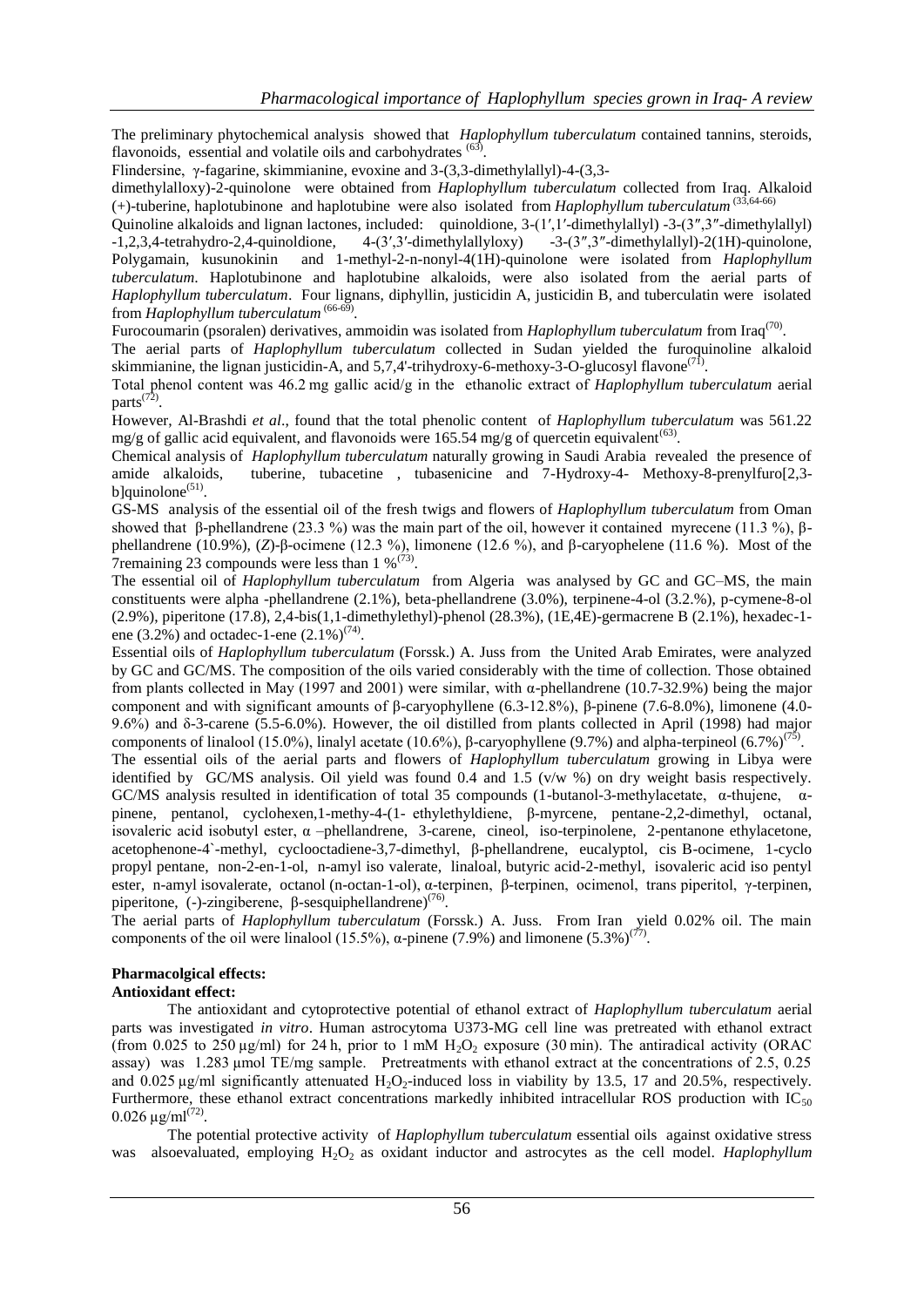The preliminary phytochemical analysis showed that *Haplophyllum tuberculatum* contained tannins, steroids, flavonoids, essential and volatile oils and carbohydrates  $(63)$ .

Flindersine, γ-fagarine, skimmianine, evoxine and 3-(3,3-dimethylallyl)-4-(3,3-

dimethylalloxy)-2-quinolone were obtained from *Haplophyllum tuberculatum* collected from Iraq. Alkaloid (+)-tuberine, haplotubinone and haplotubine were also isolated from *Haplophyllum tuberculatum* (33,64-66)

Quinoline alkaloids and lignan lactones, included: quinoldione, 3-(1′,1′-dimethylallyl) -3-(3″,3″-dimethylallyl) -1,2,3,4-tetrahydro-2,4-quinoldione, 4-(3′,3′-dimethylallyloxy) -3-(3″,3″-dimethylallyl)-2(1H)-quinolone, Polygamain, kusunokinin and 1-methyl-2-n-nonyl-4(1H)-quinolone were isolated from *Haplophyllum tuberculatum*. Haplotubinone and haplotubine alkaloids, were also isolated from the aerial parts of *Haplophyllum tuberculatum*. Four lignans, diphyllin, justicidin A, justicidin B, and tuberculatin were isolated from *Haplophyllum tuberculatum* (66-69) *.* 

Furocoumarin (psoralen) derivatives, ammoidin was isolated from *Haplophyllum tuberculatum* from Iraq<sup>(70)</sup>.

The aerial parts of *Haplophyllum tuberculatum* collected in Sudan yielded the furoquinoline alkaloid skimmianine, the lignan justicidin-A, and 5,7,4'-trihydroxy-6-methoxy-3-O-glucosyl flavone<sup>(71)</sup>.

Total phenol content was 46.2 mg gallic acid/g in the ethanolic extract of *Haplophyllum tuberculatum* aerial parts<sup>(72)</sup>.

However, Al-Brashdi *et al*., found that the total phenolic content of *Haplophyllum tuberculatum* was 561.22 mg/g of gallic acid equivalent, and flavonoids were 165.54 mg/g of quercetin equivalent<sup>(63)</sup>.

Chemical analysis of *Haplophyllum tuberculatum* naturally growing in Saudi Arabia revealed the presence of amide alkaloids, tuberine, tubacetine , tubasenicine and 7-Hydroxy-4- Methoxy-8-prenylfuro[2,3  $b$ ]quinolone<sup>(51)</sup>.

GS-MS analysis of the essential oil of the fresh twigs and flowers of *Haplophyllum tuberculatum* from Oman showed that β-phellandrene (23.3 %) was the main part of the oil, however it contained myrecene (11.3 %), βphellandrene (10.9%), (*Z*)-β-ocimene (12.3 %), limonene (12.6 %), and β-caryophelene (11.6 %). Most of the Tremaining 23 compounds were less than  $1\%^{(73)}$ .

The essential oil of *Haplophyllum tuberculatum* from Algeria was analysed by GC and GC–MS, the main constituents were alpha -phellandrene (2.1%), beta-phellandrene (3.0%), terpinene-4-ol (3.2.%), p-cymene-8-ol (2.9%), piperitone (17.8), 2,4-bis(1,1-dimethylethyl)-phenol (28.3%), (1E,4E)-germacrene B (2.1%), hexadec-1 ene  $(3.2\%)$  and octadec-1-ene  $(2.1\%)^{(74)}$ .

Essential oils of *Haplophyllum tuberculatum* (Forssk.) A. Juss from the United Arab Emirates, were analyzed by GC and GC/MS. The composition of the oils varied considerably with the time of collection. Those obtained from plants collected in May (1997 and 2001) were similar, with α-phellandrene (10.7-32.9%) being the major component and with significant amounts of β-caryophyllene (6.3-12.8%), β-pinene (7.6-8.0%), limonene (4.0- 9.6%) and δ-3-carene (5.5-6.0%). However, the oil distilled from plants collected in April (1998) had major components of linalool (15.0%), linalyl acetate (10.6%), β-caryophyllene (9.7%) and alpha-terpineol (6.7%)<sup>(75)</sup>.

The essential oils of the aerial parts and flowers of *Haplophyllum tuberculatum* growing in Libya were identified by GC/MS analysis. Oil yield was found 0.4 and 1.5 (v/w %) on dry weight basis respectively. GC/MS analysis resulted in identification of total 35 compounds (1-butanol-3-methylacetate, α-thujene, αpinene, pentanol, cyclohexen,1-methy-4-(1- ethylethyldiene, β-myrcene, pentane-2,2-dimethyl, octanal, isovaleric acid isobutyl ester,  $\alpha$  –phellandrene, 3-carene, cineol, iso-terpinolene, 2-pentanone ethylacetone, acetophenone-4`-methyl, cyclooctadiene-3,7-dimethyl, β-phellandrene, eucalyptol, cis B-ocimene, 1-cyclo propyl pentane, non-2-en-1-ol, n-amyl iso valerate, linaloal, butyric acid-2-methyl, isovaleric acid iso pentyl ester, n-amyl isovalerate, octanol (n-octan-1-ol), α-terpinen, β-terpinen, ocimenol, trans piperitol, γ-terpinen, piperitone, (-)-zingiberene,  $\beta$ -sesquiphellandrene)<sup>(76)</sup>.

The aerial parts of *Haplophyllum tuberculatum* (Forssk.) A. Juss. From Iran yield 0.02% oil. The main components of the oil were linalool (15.5%), α-pinene (7.9%) and limonene (5.3%)<sup>(77)</sup>.

## **Pharmacolgical effects:**

#### **Antioxidant effect:**

The antioxidant and cytoprotective potential of ethanol extract of *Haplophyllum tuberculatum* aerial parts was investigated *in vitro*. Human astrocytoma U373-MG cell line was pretreated with ethanol extract (from 0.025 to 250 µg/ml) for 24 h, prior to 1 mM H<sub>2</sub>O<sub>2</sub> exposure (30 min). The antiradical activity (ORAC assay) was 1.283 µmol TE/mg sample. Pretreatments with ethanol extract at the concentrations of 2.5, 0.25 and  $0.025 \mu$ g/ml significantly attenuated H<sub>2</sub>O<sub>2</sub>-induced loss in viability by 13.5, 17 and 20.5%, respectively. Furthermore, these ethanol extract concentrations markedly inhibited intracellular ROS production with  $IC_{50}$  $0.026 \,\mu\text{g/ml}^{(72)}$ .

The potential protective activity of *Haplophyllum tuberculatum* essential oils against oxidative stress was alsoevaluated, employing H<sub>2</sub>O<sub>2</sub> as oxidant inductor and astrocytes as the cell model. *Haplophyllum*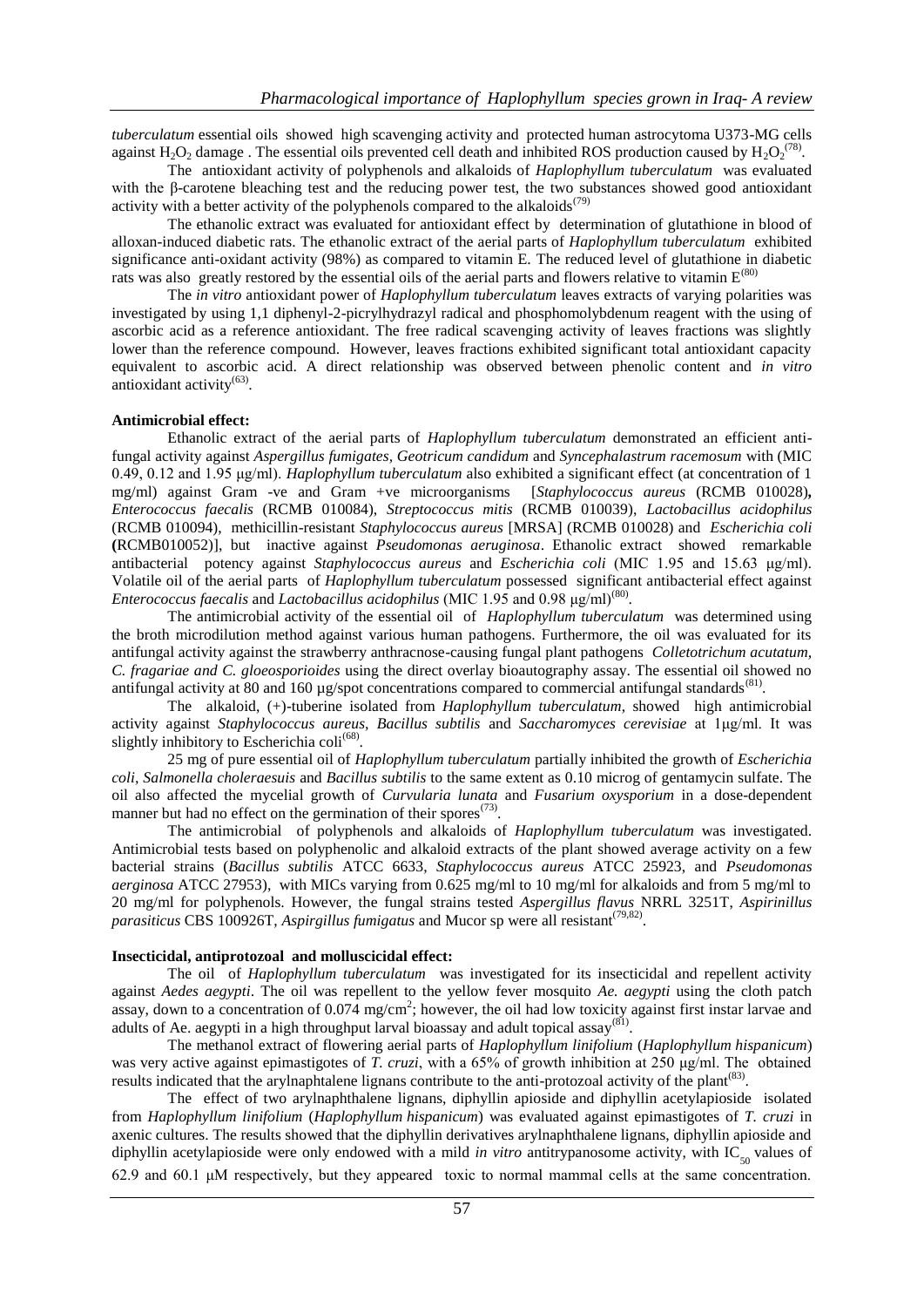*tuberculatum* essential oils showed high scavenging activity and protected human astrocytoma U373-MG cells against  $H_2O_2$  damage. The essential oils prevented cell death and inhibited ROS production caused by  $H_2O_2^{(78)}$ .

The antioxidant activity of polyphenols and alkaloids of *Haplophyllum tuberculatum* was evaluated with the β-carotene bleaching test and the reducing power test, the two substances showed good antioxidant activity with a better activity of the polyphenols compared to the alkaloids<sup> $(79)$ </sup>

The ethanolic extract was evaluated for antioxidant effect by determination of glutathione in blood of alloxan-induced diabetic rats. The ethanolic extract of the aerial parts of *Haplophyllum tuberculatum* exhibited significance anti-oxidant activity (98%) as compared to vitamin E. The reduced level of glutathione in diabetic rats was also greatly restored by the essential oils of the aerial parts and flowers relative to vitamin  $E^{(80)}$ 

The *in vitro* antioxidant power of *Haplophyllum tuberculatum* leaves extracts of varying polarities was investigated by using 1,1 diphenyl-2-picrylhydrazyl radical and phosphomolybdenum reagent with the using of ascorbic acid as a reference antioxidant. The free radical scavenging activity of leaves fractions was slightly lower than the reference compound. However, leaves fractions exhibited significant total antioxidant capacity equivalent to ascorbic acid. A direct relationship was observed between phenolic content and *in vitro*   $\arccos$  antioxidant activity<sup>(63)</sup>.

#### **Antimicrobial effect:**

Ethanolic extract of the aerial parts of *Haplophyllum tuberculatum* demonstrated an efficient antifungal activity against *Aspergillus fumigates, Geotricum candidum* and *Syncephalastrum racemosum* with (MIC 0.49, 0.12 and 1.95 μg/ml). *Haplophyllum tuberculatum* also exhibited a significant effect (at concentration of 1 mg/ml) against Gram -ve and Gram +ve microorganisms [*Staphylococcus aureus* (RCMB 010028)*, Enterococcus faecalis* (RCMB 010084), *Streptococcus mitis* (RCMB 010039), *Lactobacillus acidophilus*  (RCMB 010094), methicillin-resistant *Staphylococcus aureus* [MRSA] (RCMB 010028) and *Escherichia coli*  **(**RCMB010052)], but inactive against *Pseudomonas aeruginosa*. Ethanolic extract showed remarkable antibacterial potency against *Staphylococcus aureus* and *Escherichia coli* (MIC 1.95 and 15.63 μg/ml)*.*  Volatile oil of the aerial parts of *Haplophyllum tuberculatum* possessed significant antibacterial effect against *Enterococcus faecalis* and *Lactobacillus acidophilus* (MIC 1.95 and 0.98 μg/ml)<sup>(80)</sup>.

The antimicrobial activity of the essential oil of *Haplophyllum tuberculatum* was determined using the broth microdilution method against various human pathogens. Furthermore, the oil was evaluated for its antifungal activity against the strawberry anthracnose-causing fungal plant pathogens *Colletotrichum acutatum, C. fragariae and C. gloeosporioides* using the direct overlay bioautography assay. The essential oil showed no antifungal activity at 80 and 160 µg/spot concentrations compared to commercial antifungal standards<sup>(81)</sup>.

The alkaloid, (+)-tuberine isolated from *Haplophyllum tuberculatum*, showed high antimicrobial activity against *Staphylococcus aureus, Bacillus subtilis* and *Saccharomyces cerevisiae* at 1μg/ml. It was slightly inhibitory to Escherichia coli<sup>(68)</sup>.

25 mg of pure essential oil of *Haplophyllum tuberculatum* partially inhibited the growth of *Escherichia coli, Salmonella choleraesuis* and *Bacillus subtilis* to the same extent as 0.10 microg of gentamycin sulfate. The oil also affected the mycelial growth of *Curvularia lunata* and *Fusarium oxysporium* in a dose-dependent manner but had no effect on the germination of their spores<sup> $(73)$ </sup>.

The antimicrobial of polyphenols and alkaloids of *Haplophyllum tuberculatum* was investigated. Antimicrobial tests based on polyphenolic and alkaloid extracts of the plant showed average activity on a few bacterial strains (*Bacillus subtilis* ATCC 6633, *Staphylococcus aureus* ATCC 25923, and *Pseudomonas aerginosa* ATCC 27953), with MICs varying from 0.625 mg/ml to 10 mg/ml for alkaloids and from 5 mg/ml to 20 mg/ml for polyphenols. However, the fungal strains tested *Aspergillus flavus* NRRL 3251T, *Aspirinillus*  parasiticus CBS 100926T, Aspirgillus fumigatus and Mucor sp were all resistant<sup>(79,82)</sup>.

### **Insecticidal, antiprotozoal and molluscicidal effect:**

The oil of *Haplophyllum tuberculatum* was investigated for its insecticidal and repellent activity against *Aedes aegypti*. The oil was repellent to the yellow fever mosquito *Ae. aegypti* using the cloth patch assay, down to a concentration of 0.074 mg/cm<sup>2</sup>; however, the oil had low toxicity against first instar larvae and adults of Ae. aegypti in a high throughput larval bioassay and adult topical assay<sup>(81)</sup>.

The methanol extract of flowering aerial parts of *Haplophyllum linifolium* (*Haplophyllum hispanicum*) was very active against epimastigotes of *T. cruzi*, with a 65% of growth inhibition at 250 μg/ml. The obtained results indicated that the arylnaphtalene lignans contribute to the anti-protozoal activity of the plant<sup>(83)</sup>.

The effect of two arylnaphthalene lignans, diphyllin apioside and diphyllin acetylapioside isolated from *Haplophyllum linifolium* (*Haplophyllum hispanicum*) was evaluated against epimastigotes of *T. cruzi* in axenic cultures. The results showed that the diphyllin derivatives arylnaphthalene lignans, diphyllin apioside and diphyllin acetylapioside were only endowed with a mild *in vitro* antitrypanosome activity, with IC<sub>50</sub> values of 62.9 and 60.1 μM respectively, but they appeared toxic to normal mammal cells at the same concentration.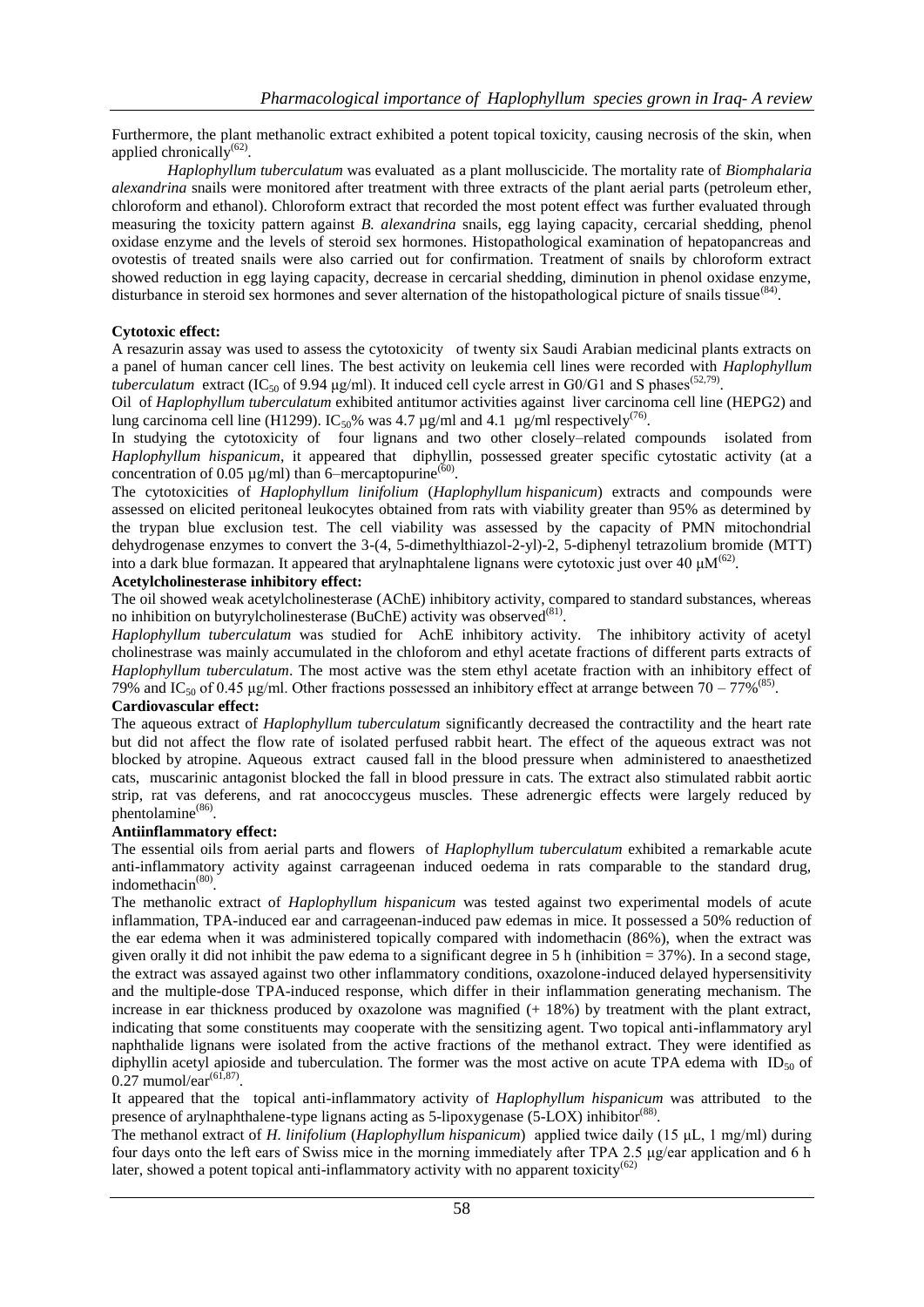Furthermore, the plant methanolic extract exhibited a potent topical toxicity, causing necrosis of the skin, when applied chronically<sup>(62)</sup>.

*Haplophyllum tuberculatum* was evaluated as a plant molluscicide. The mortality rate of *Biomphalaria alexandrina* snails were monitored after treatment with three extracts of the plant aerial parts (petroleum ether, chloroform and ethanol). Chloroform extract that recorded the most potent effect was further evaluated through measuring the toxicity pattern against *B. alexandrina* snails, egg laying capacity, cercarial shedding, phenol oxidase enzyme and the levels of steroid sex hormones. Histopathological examination of hepatopancreas and ovotestis of treated snails were also carried out for confirmation. Treatment of snails by chloroform extract showed reduction in egg laying capacity, decrease in cercarial shedding, diminution in phenol oxidase enzyme, disturbance in steroid sex hormones and sever alternation of the histopathological picture of snails tissue<sup>(84)</sup>.

# **Cytotoxic effect:**

A resazurin assay was used to assess the cytotoxicity of twenty six Saudi Arabian medicinal plants extracts on a panel of human cancer cell lines. The best activity on leukemia cell lines were recorded with *Haplophyllum tuberculatum* extract (IC<sub>50</sub> of 9.94  $\mu$ g/ml). It induced cell cycle arrest in G0/G1 and S phases<sup>(52,79)</sup>.

Oil of *Haplophyllum tuberculatum* exhibited antitumor activities against liver carcinoma cell line (HEPG2) and lung carcinoma cell line (H1299). IC<sub>50</sub>% was 4.7 µg/ml and 4.1 µg/ml respectively<sup>(76)</sup>.

In studying the cytotoxicity of four lignans and two other closely–related compounds isolated from *Haplophyllum hispanicum*, it appeared that diphyllin, possessed greater specific cytostatic activity (at a concentration of 0.05  $\mu$ g/ml) than 6–mercaptopurine<sup>(60)</sup>.

The cytotoxicities of *Haplophyllum linifolium* (*Haplophyllum hispanicum*) extracts and compounds were assessed on elicited peritoneal leukocytes obtained from rats with viability greater than 95% as determined by the trypan blue exclusion test. The cell viability was assessed by the capacity of PMN mitochondrial dehydrogenase enzymes to convert the 3-(4, 5-dimethylthiazol-2-yl)-2, 5-diphenyl tetrazolium bromide (MTT) into a dark blue formazan. It appeared that arylnaphtalene lignans were cytotoxic just over 40  $\mu$ M<sup>(62)</sup>.

## **Acetylcholinesterase inhibitory effect:**

The oil showed weak acetylcholinesterase (AChE) inhibitory activity, compared to standard substances, whereas no inhibition on butyrylcholinesterase (BuChE) activity was observed<sup>(81)</sup>.

*Haplophyllum tuberculatum* was studied for AchE inhibitory activity. The inhibitory activity of acetyl cholinestrase was mainly accumulated in the chloforom and ethyl acetate fractions of different parts extracts of *Haplophyllum tuberculatum*. The most active was the stem ethyl acetate fraction with an inhibitory effect of 79% and IC<sub>50</sub> of 0.45 µg/ml. Other fractions possessed an inhibitory effect at arrange between 70 – 77%<sup>(85)</sup>.

# **Cardiovascular effect:**

The aqueous extract of *Haplophyllum tuberculatum* significantly decreased the contractility and the heart rate but did not affect the flow rate of isolated perfused rabbit heart. The effect of the aqueous extract was not blocked by atropine. Aqueous extract caused fall in the blood pressure when administered to anaesthetized cats, muscarinic antagonist blocked the fall in blood pressure in cats. The extract also stimulated rabbit aortic strip, rat vas deferens, and rat anococcygeus muscles. These adrenergic effects were largely reduced by phentolamine<sup>(86)</sup>.

# **Antiinflammatory effect:**

The essential oils from aerial parts and flowers of *Haplophyllum tuberculatum* exhibited a remarkable acute anti-inflammatory activity against carrageenan induced oedema in rats comparable to the standard drug, indomethacin<sup>(80)</sup>.

The methanolic extract of *Haplophyllum hispanicum* was tested against two experimental models of acute inflammation, TPA-induced ear and carrageenan-induced paw edemas in mice. It possessed a 50% reduction of the ear edema when it was administered topically compared with indomethacin (86%), when the extract was given orally it did not inhibit the paw edema to a significant degree in 5 h (inhibition = 37%). In a second stage, the extract was assayed against two other inflammatory conditions, oxazolone-induced delayed hypersensitivity and the multiple-dose TPA-induced response, which differ in their inflammation generating mechanism. The increase in ear thickness produced by oxazolone was magnified (+ 18%) by treatment with the plant extract, indicating that some constituents may cooperate with the sensitizing agent. Two topical anti-inflammatory aryl naphthalide lignans were isolated from the active fractions of the methanol extract. They were identified as diphyllin acetyl apioside and tuberculation. The former was the most active on acute TPA edema with ID<sub>50</sub> of  $0.27$  mumol/ear<sup>(61,87)</sup>.

It appeared that the topical anti-inflammatory activity of *Haplophyllum hispanicum* was attributed to the presence of arylnaphthalene-type lignans acting as 5-lipoxygenase (5-LOX) inhibitor<sup>(88)</sup>.

The methanol extract of *H. linifolium* (*Haplophyllum hispanicum*) applied twice daily (15 μL, 1 mg/ml) during four days onto the left ears of Swiss mice in the morning immediately after TPA 2.5 μg/ear application and 6 h later, showed a potent topical anti-inflammatory activity with no apparent toxicity<sup>(62)</sup>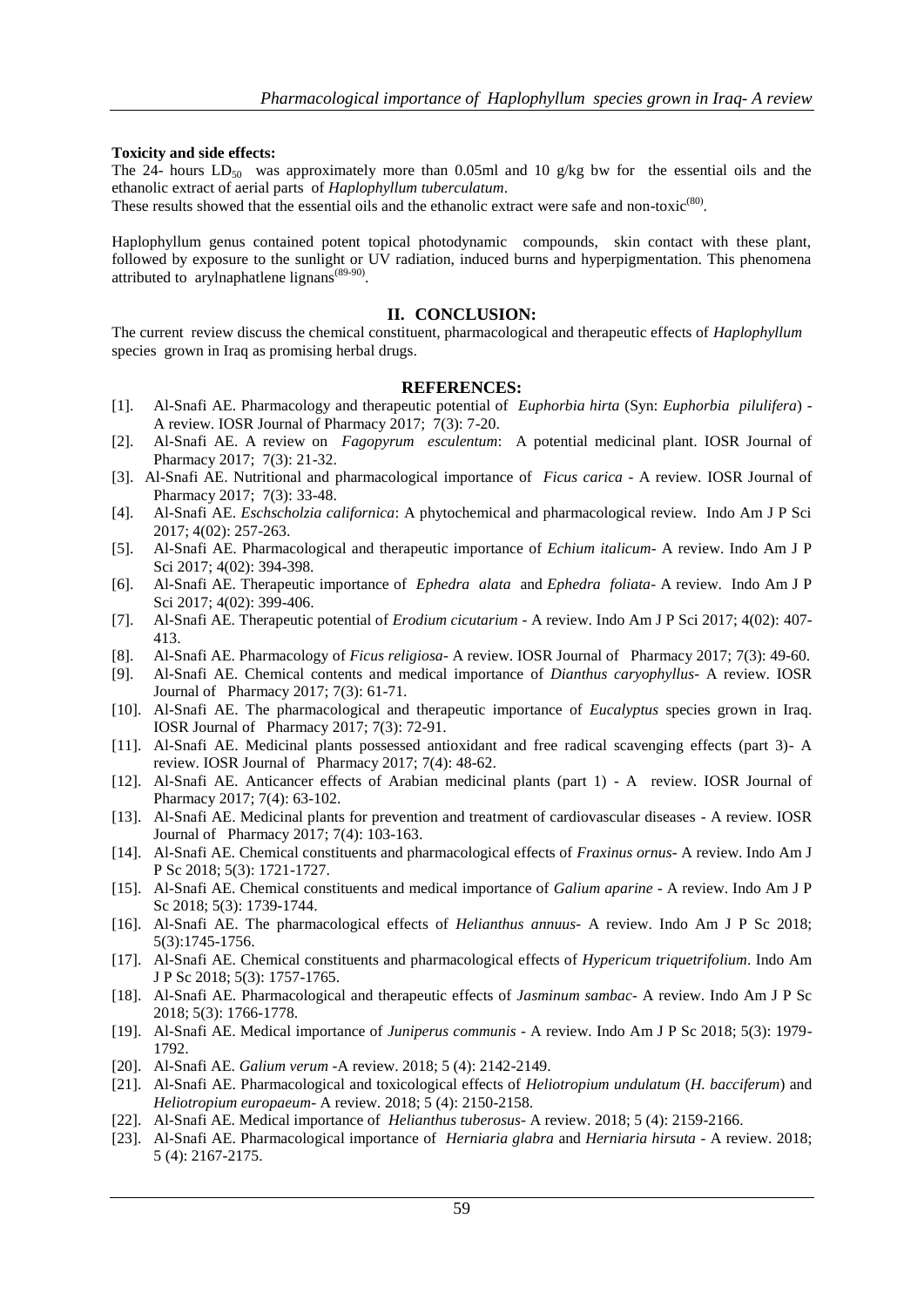# **Toxicity and side effects:**

The 24- hours  $LD_{50}$  was approximately more than 0.05ml and 10 g/kg bw for the essential oils and the ethanolic extract of aerial parts of *Haplophyllum tuberculatum*.

These results showed that the essential oils and the ethanolic extract were safe and non-toxic<sup>(80)</sup>.

Haplophyllum genus contained potent topical photodynamic compounds, skin contact with these plant, followed by exposure to the sunlight or UV radiation, induced burns and hyperpigmentation. This phenomena attributed to arylnaphatlene lignans<sup>(89-90)</sup>.

## **II. CONCLUSION:**

The current review discuss the chemical constituent, pharmacological and therapeutic effects of *Haplophyllum*  species grown in Iraq as promising herbal drugs.

# **REFERENCES:**

- [1]. Al-Snafi AE. Pharmacology and therapeutic potential of *Euphorbia hirta* (Syn: *Euphorbia pilulifera*) A review. IOSR Journal of Pharmacy 2017; 7(3): 7-20.
- [2]. Al-Snafi AE. A review on *Fagopyrum esculentum*: A potential medicinal plant. IOSR Journal of Pharmacy 2017; 7(3): 21-32.
- [3]. Al-Snafi AE. Nutritional and pharmacological importance of *Ficus carica* A review. IOSR Journal of Pharmacy 2017; 7(3): 33-48.
- [4]. Al-Snafi AE. *Eschscholzia californica*: A phytochemical and pharmacological review. Indo Am J P Sci 2017; 4(02): 257-263.
- [5]. Al-Snafi AE. Pharmacological and therapeutic importance of *Echium italicum* A review. Indo Am J P Sci 2017; 4(02): 394-398.
- [6]. Al-Snafi AE. Therapeutic importance of *Ephedra alata* and *Ephedra foliata* A review. Indo Am J P Sci 2017; 4(02): 399-406.
- [7]. Al-Snafi AE. Therapeutic potential of *Erodium cicutarium* A review. Indo Am J P Sci 2017; 4(02): 407- 413.
- [8]. Al-Snafi AE. Pharmacology of *Ficus religiosa* A review. IOSR Journal of Pharmacy 2017; 7(3): 49-60.
- [9]. Al-Snafi AE. Chemical contents and medical importance of *Dianthus caryophyllus* A review. IOSR Journal of Pharmacy 2017; 7(3): 61-71.
- [10]. Al-Snafi AE. The pharmacological and therapeutic importance of *Eucalyptus* species grown in Iraq. IOSR Journal of Pharmacy 2017; 7(3): 72-91.
- [11]. Al-Snafi AE. Medicinal plants possessed antioxidant and free radical scavenging effects (part 3)- A review. IOSR Journal of Pharmacy 2017; 7(4): 48-62.
- [12]. Al-Snafi AE. Anticancer effects of Arabian medicinal plants (part 1) A review. IOSR Journal of Pharmacy 2017; 7(4): 63-102.
- [13]. Al-Snafi AE. Medicinal plants for prevention and treatment of cardiovascular diseases A review. IOSR Journal of Pharmacy 2017; 7(4): 103-163.
- [14]. Al-Snafi AE. Chemical constituents and pharmacological effects of *Fraxinus ornus* A review. Indo Am J P Sc 2018; 5(3): 1721-1727.
- [15]. Al-Snafi AE. Chemical constituents and medical importance of *Galium aparine* A review. Indo Am J P Sc 2018; 5(3): 1739-1744.
- [16]. Al-Snafi AE. The pharmacological effects of *Helianthus annuus* A review. Indo Am J P Sc 2018; 5(3):1745-1756.
- [17]. Al-Snafi AE. Chemical constituents and pharmacological effects of *Hypericum triquetrifolium*. Indo Am J P Sc 2018; 5(3): 1757-1765.
- [18]. Al-Snafi AE. Pharmacological and therapeutic effects of *Jasminum sambac* A review. Indo Am J P Sc 2018; 5(3): 1766-1778.
- [19]. Al-Snafi AE. Medical importance of *Juniperus communis* A review. Indo Am J P Sc 2018; 5(3): 1979- 1792.
- [20]. Al-Snafi AE. *Galium verum -*A review. 2018; 5 (4): 2142-2149.
- [21]. Al-Snafi AE. Pharmacological and toxicological effects of *Heliotropium undulatum* (*H. bacciferum*) and *Heliotropium europaeum*- A review. 2018; 5 (4): 2150-2158.
- [22]. Al-Snafi AE. Medical importance of *Helianthus tuberosus* A review. 2018; 5 (4): 2159-2166.
- [23]. Al-Snafi AE. Pharmacological importance of *Herniaria glabra* and *Herniaria hirsuta* A review. 2018; 5 (4): 2167-2175.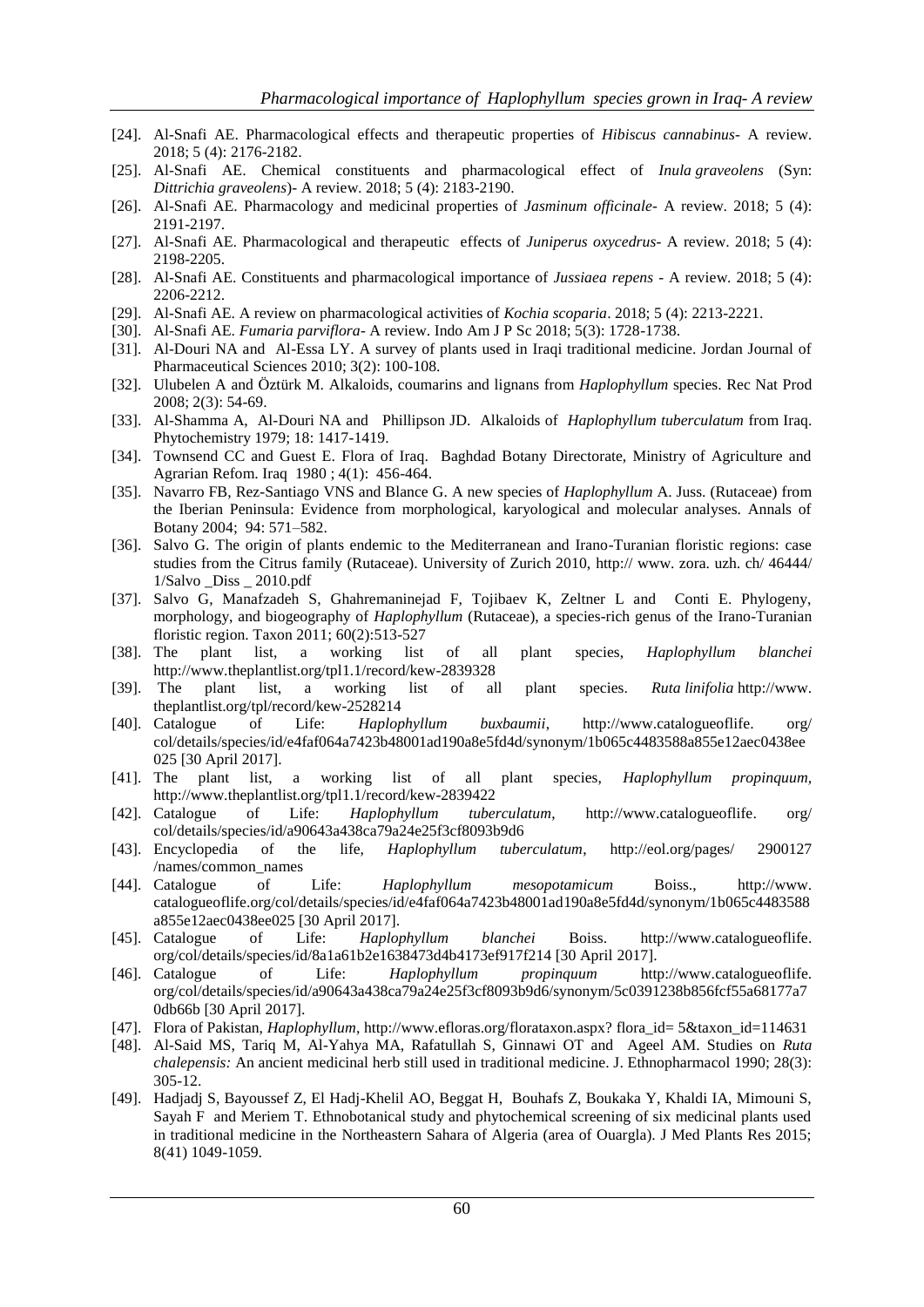- [24]. Al-Snafi AE. Pharmacological effects and therapeutic properties of *Hibiscus cannabinus* A review. 2018; 5 (4): 2176-2182.
- [25]. Al-Snafi AE. Chemical constituents and pharmacological effect of *Inula graveolens* (Syn: *Dittrichia graveolens*)- A review. 2018; 5 (4): 2183-2190.
- [26]. Al-Snafi AE. Pharmacology and medicinal properties of *Jasminum officinale* A review. 2018; 5 (4): 2191-2197.
- [27]. Al-Snafi AE. Pharmacological and therapeutic effects of *Juniperus oxycedrus* A review. 2018; 5 (4): 2198-2205.
- [28]. Al-Snafi AE. Constituents and pharmacological importance of *Jussiaea repens* [A review. 2018; 5 \(4\):](http://www.theplantlist.org/tpl/record/tro-23200791)  [2206-2212.](http://www.theplantlist.org/tpl/record/tro-23200791)
- [29]. Al-Snafi AE. A review on pharmacological activities of *Kochia scoparia*. 2018; 5 (4): 2213-2221.
- [30]. Al-Snafi AE. *Fumaria parviflora* A review. Indo Am J P Sc 2018; 5(3): 1728-1738.
- [31]. Al-Douri NA and Al-Essa LY. A survey of plants used in Iraqi traditional medicine. Jordan Journal of Pharmaceutical Sciences 2010; 3(2): 100-108.
- [32]. Ulubelen A and Öztürk M. Alkaloids, coumarins and lignans from *Haplophyllum* species. Rec Nat Prod 2008; 2(3): 54-69.
- [33]. Al-Shamma A, Al-Douri NA and Phillipson JD. Alkaloids of *Haplophyllum tuberculatum* from Iraq. Phytochemistry 1979; 18: 1417-1419.
- [34]. Townsend CC and Guest E. Flora of Iraq. Baghdad Botany Directorate, Ministry of Agriculture and Agrarian Refom. Iraq 1980 ; 4(1): 456-464.
- [35]. Navarro FB, Rez-Santiago VNS and Blance G. A new species of *Haplophyllum* A. Juss. (Rutaceae) from the Iberian Peninsula: Evidence from morphological, karyological and molecular analyses. Annals of Botany 2004; 94: 571–582.
- [36]. Salvo G. The origin of plants endemic to the Mediterranean and Irano-Turanian floristic regions: case studies from the Citrus family (Rutaceae). University of Zurich 2010, http:// www. zora. uzh. ch/ 46444/ 1/Salvo \_Diss \_ 2010.pdf
- [37]. Salvo G, Manafzadeh S, Ghahremaninejad F, Tojibaev K, Zeltner L and Conti E. Phylogeny, morphology, and biogeography of *Haplophyllum* (Rutaceae), a species-rich genus of the Irano-Turanian floristic region. Taxon 2011; 60(2):513-527
- [38]. The plant list, a working list of all plant species, *Haplophyllum blanchei*  http://www.theplantlist.org/tpl1.1/record/kew-2839328
- [39]. [The plant list, a working list of all plant species.](file:///C:\Users\ali\Desktop\New%20folder%20(6)\%20The%20plant%20list%20.%20a%20working%20list%20of%20all%20plant%20species.%20Ruta�linifolia�) *Ruta linifolia* [http://www.](file:///C:\Users\ali\Desktop\New%20folder%20(6)\%20The%20plant%20list%20.%20a%20working%20list%20of%20all%20plant%20species.%20Ruta�linifolia�) theplantlist.org/tpl/record/kew-2528214
- [40]. Catalogue of Life: *Haplophyllum buxbaumii*, [http://www.catalogueoflife.](http://www.catalogueoflife/) org/ col/details/species/id/e4faf064a7423b48001ad190a8e5fd4d/synonym/1b065c4483588a855e12aec0438ee 025 [30 April 2017].
- [41]. The plant list, a working list of all plant species, *Haplophyllum propinquum,*  http://www.theplantlist.org/tpl1.1/record/kew-2839422
- [42]. Catalogue of Life: *Haplophyllum tuberculatum*, [http://www.catalogueoflife.](http://www.catalogueoflife/) org/ col/details/species/id/a90643a438ca79a24e25f3cf8093b9d6
- [43]. Encyclopedia of the life, *Haplophyllum tuberculatum*, [http://eol.org/pages/ 2900127](http://eol.org/pages/%202900127/names/common_names)  [/names/common\\_names](http://eol.org/pages/%202900127/names/common_names)
- [44]. Catalogue of Life: *Haplophyllum mesopotamicum* Boiss., [http://www.](http://www.catalogueoflife/)  [catalogueoflife.](http://www.catalogueoflife/)org/col/details/species/id/e4faf064a7423b48001ad190a8e5fd4d/synonym/1b065c4483588 a855e12aec0438ee025 [30 April 2017].
- [45]. Catalogue of Life: *Haplophyllum blanchei* Boiss. [http://www.catalogueoflife.](http://www.catalogueoflife/) org/col/details/species/id/8a1a61b2e1638473d4b4173ef917f214 [30 April 2017].
- [46]. Catalogue of Life: *Haplophyllum propinquum* http://www.catalogueoflife. org/col/details/species/id/a90643a438ca79a24e25f3cf8093b9d6/synonym/5c0391238b856fcf55a68177a7 0db66b [30 April 2017].
- [47]. Flora of Pakistan, *Haplophyllum*[, http://www.efloras.org/florataxon.aspx?](http://www.efloras.org/florataxon.aspx) flora\_id= 5&taxon\_id=114631
- [48]. Al-Said MS, Tariq M, Al-Yahya MA, Rafatullah S, Ginnawi OT and Ageel AM. Studies on *Ruta chalepensis:* An ancient medicinal herb still used in traditional medicine. J. Ethnopharmacol 1990; 28(3):  $305 - 12$ .
- [49]. Hadjadj S, Bayoussef Z, El Hadj-Khelil AO, Beggat H, Bouhafs Z, Boukaka Y, Khaldi IA, Mimouni S, Sayah F and Meriem T. Ethnobotanical study and phytochemical screening of six medicinal plants used in traditional medicine in the Northeastern Sahara of Algeria (area of Ouargla). J Med Plants Res 2015; 8(41) 1049-1059.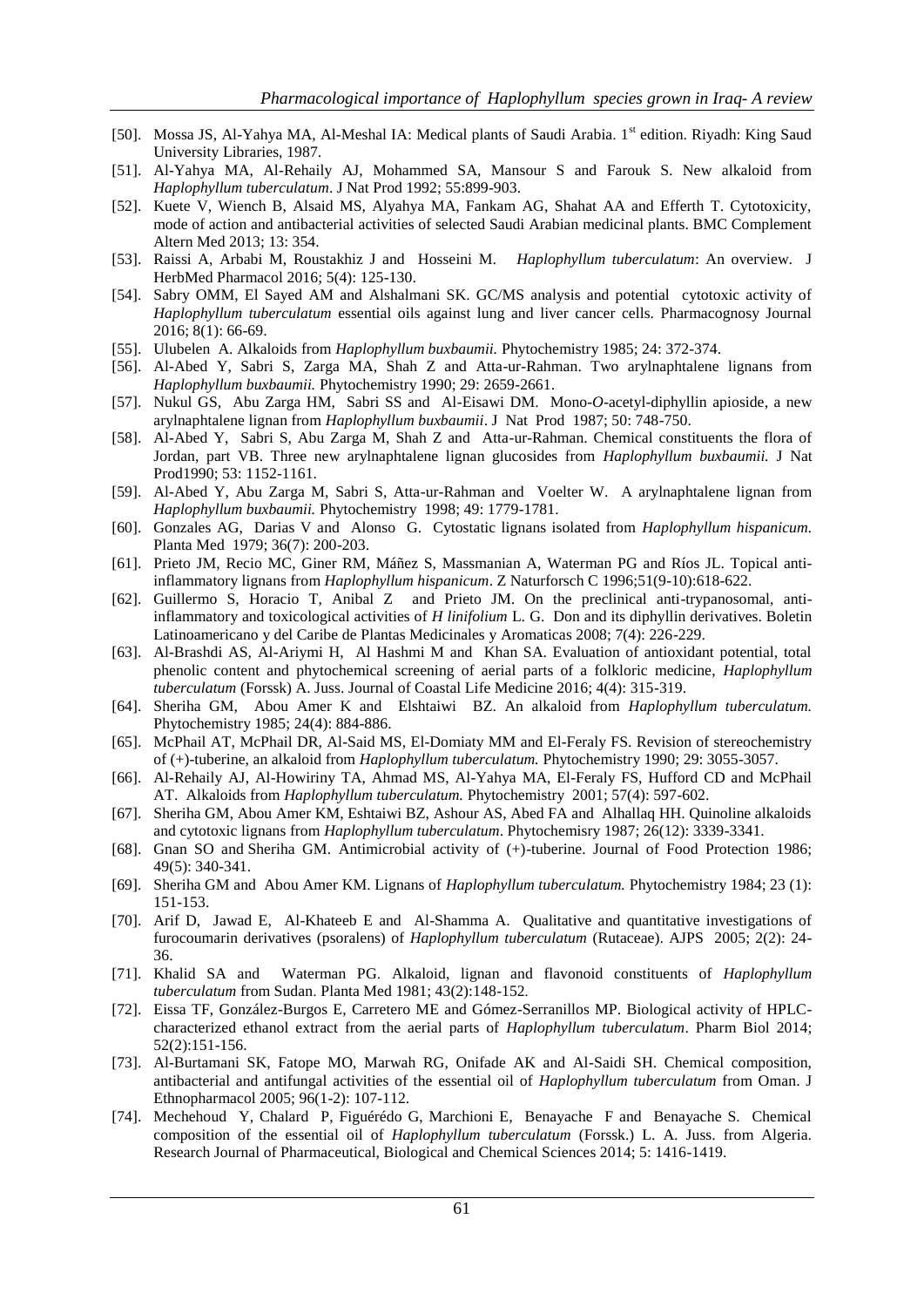- [50]. Mossa JS, Al-Yahya MA, Al-Meshal IA: Medical plants of Saudi Arabia. 1<sup>st</sup> edition. Riyadh: King Saud University Libraries, 1987.
- [51]. Al-Yahya MA, Al-Rehaily AJ, Mohammed SA, Mansour S and Farouk S. New alkaloid from *Haplophyllum tuberculatum*. J Nat Prod 1992; 55:899-903.
- [52]. Kuete V, Wiench B, Alsaid MS, Alyahya MA, Fankam AG, Shahat AA and Efferth T. Cytotoxicity, mode of action and antibacterial activities of selected Saudi Arabian medicinal plants. BMC Complement Altern Med 2013; 13: 354.
- [53]. Raissi A, Arbabi M, Roustakhiz J and Hosseini M. *Haplophyllum tuberculatum*: An overview. J HerbMed Pharmacol 2016; 5(4): 125-130.
- [54]. Sabry OMM, El Sayed AM and Alshalmani SK. GC/MS analysis and potential cytotoxic activity of *Haplophyllum tuberculatum* essential oils against lung and liver cancer cells. Pharmacognosy Journal 2016; 8(1): 66-69.
- [55]. Ulubelen A. Alkaloids from *Haplophyllum buxbaumii.* Phytochemistry 1985; 24: 372-374.
- [56]. Al-Abed Y, Sabri S, Zarga MA, Shah Z and Atta-ur-Rahman. Two arylnaphtalene lignans from *Haplophyllum buxbaumii.* Phytochemistry 1990; 29: 2659-2661.
- [57]. Nukul GS, Abu Zarga HM, Sabri SS and Al-Eisawi DM. Mono-*O*-acetyl-diphyllin apioside, a new arylnaphtalene lignan from *Haplophyllum buxbaumii*. J Nat Prod 1987; 50: 748-750.
- [58]. Al-Abed Y, Sabri S, Abu Zarga M, Shah Z and Atta-ur-Rahman. Chemical constituents the flora of Jordan, part VB. Three new arylnaphtalene lignan glucosides from *Haplophyllum buxbaumii.* J Nat Prod1990; 53: 1152-1161.
- [59]. Al-Abed Y, Abu Zarga M, Sabri S, Atta-ur-Rahman and Voelter W. A arylnaphtalene lignan from *Haplophyllum buxbaumii.* Phytochemistry 1998; 49: 1779-1781.
- [60]. Gonzales AG, Darias V and Alonso G. Cytostatic lignans isolated from *Haplophyllum hispanicum.* Planta Med 1979; 36(7): 200-203.
- [61]. [Prieto JM,](https://www.ncbi.nlm.nih.gov/pubmed/?term=Prieto%20JM%5BAuthor%5D&cauthor=true&cauthor_uid=8921631) [Recio MC,](https://www.ncbi.nlm.nih.gov/pubmed/?term=Recio%20MC%5BAuthor%5D&cauthor=true&cauthor_uid=8921631) [Giner RM,](https://www.ncbi.nlm.nih.gov/pubmed/?term=Giner%20RM%5BAuthor%5D&cauthor=true&cauthor_uid=8921631) [Máñez S,](https://www.ncbi.nlm.nih.gov/pubmed/?term=M%C3%A1%C3%B1ez%20S%5BAuthor%5D&cauthor=true&cauthor_uid=8921631) [Massmanian A,](https://www.ncbi.nlm.nih.gov/pubmed/?term=Massmanian%20A%5BAuthor%5D&cauthor=true&cauthor_uid=8921631) [Waterman PG](https://www.ncbi.nlm.nih.gov/pubmed/?term=Waterman%20PG%5BAuthor%5D&cauthor=true&cauthor_uid=8921631) and [Ríos JL.](https://www.ncbi.nlm.nih.gov/pubmed/?term=R%C3%ADos%20JL%5BAuthor%5D&cauthor=true&cauthor_uid=8921631) Topical antiinflammatory lignans from *Haplophyllum hispanicum*. [Z Naturforsch C](https://www.ncbi.nlm.nih.gov/pubmed/8921631) 1996;51(9-10):618-622.
- [62]. Guillermo S, Horacio T, Anibal Z and Prieto JM. On the preclinical anti-trypanosomal, antiinflammatory and toxicological activities of *H linifolium* L. G. Don and its diphyllin derivatives. Boletin Latinoamericano y del Caribe de Plantas Medicinales y Aromaticas 2008; 7(4): 226-229.
- [63]. Al-Brashdi AS, Al-Ariymi H, Al Hashmi M and Khan SA. Evaluation of antioxidant potential, total phenolic content and phytochemical screening of aerial parts of a folkloric medicine, *Haplophyllum tuberculatum* (Forssk) A. Juss. Journal of Coastal Life Medicine 2016; 4(4): 315-319.
- [64]. Sheriha GM, Abou Amer K and Elshtaiwi BZ. An alkaloid from *Haplophyllum tuberculatum.*  Phytochemistry 1985; 24(4): 884-886.
- [65]. McPhail AT, McPhail DR, Al-Said MS, El-Domiaty MM and El-Feraly FS. Revision of stereochemistry of (+)-tuberine, an alkaloid from *Haplophyllum tuberculatum.* Phytochemistry 1990; 29: 3055-3057.
- [66]. Al-Rehaily AJ, Al-Howiriny TA, Ahmad MS, Al-Yahya MA, El-Feraly FS, Hufford CD and McPhail AT. Alkaloids from *Haplophyllum tuberculatum.* Phytochemistry 2001; 57(4): 597-602.
- [67]. Sheriha GM, Abou Amer KM, Eshtaiwi BZ, Ashour AS, Abed FA and Alhallaq HH. Quinoline alkaloids and cytotoxic lignans from *Haplophyllum tuberculatum*. Phytochemisry 1987; 26(12): 3339-3341.
- [68]. Gnan SO and Sheriha GM. Antimicrobial activity of (+)-tuberine. Journal of Food Protection 1986; 49(5): 340-341.
- [69]. Sheriha GM and Abou Amer KM. Lignans of *Haplophyllum tuberculatum.* Phytochemistry 1984; 23 (1): 151-153.
- [70]. Arif D, Jawad E, Al-Khateeb E and Al-Shamma A. Qualitative and quantitative investigations of furocoumarin derivatives (psoralens) of *Haplophyllum tuberculatum* (Rutaceae). AJPS 2005; 2(2): 24- 36.
- [71]. Khalid SA and Waterman PG. Alkaloid, lignan and flavonoid constituents of *Haplophyllum tuberculatum* from Sudan. Planta Med 1981; 43(2):148-152.
- [72]. Eissa TF, González-Burgos E, Carretero ME and Gómez-Serranillos MP. Biological activity of HPLCcharacterized ethanol extract from the aerial parts of *Haplophyllum tuberculatum*. Pharm Biol 2014; 52(2):151-156.
- [73]. Al-Burtamani SK, Fatope MO, Marwah RG, Onifade AK and Al-Saidi SH. Chemical composition, antibacterial and antifungal activities of the essential oil of *Haplophyllum tuberculatum* from Oman. J Ethnopharmacol 2005; 96(1-2): 107-112.
- [74]. Mechehoud Y, Chalard P, Figuérédo G, Marchioni E, Benayache F and Benayache S. Chemical composition of the essential oil of *Haplophyllum tuberculatum* (Forssk.) L. A. Juss. from Algeria. Research Journal of Pharmaceutical, Biological and Chemical Sciences 2014; 5: 1416-1419.